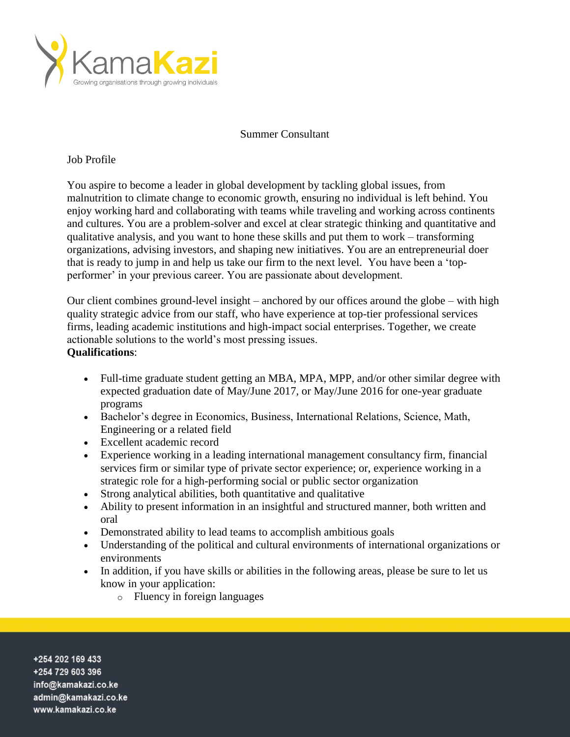

## Summer Consultant

## Job Profile

You aspire to become a leader in global development by tackling global issues, from malnutrition to climate change to economic growth, ensuring no individual is left behind. You enjoy working hard and collaborating with teams while traveling and working across continents and cultures. You are a problem-solver and excel at clear strategic thinking and quantitative and qualitative analysis, and you want to hone these skills and put them to work – transforming organizations, advising investors, and shaping new initiatives. You are an entrepreneurial doer that is ready to jump in and help us take our firm to the next level. You have been a 'topperformer' in your previous career. You are passionate about development.

Our client combines ground-level insight – anchored by our offices around the globe – with high quality strategic advice from our staff, who have experience at top-tier professional services firms, leading academic institutions and high-impact social enterprises. Together, we create actionable solutions to the world's most pressing issues. **Qualifications**:

- Full-time graduate student getting an MBA, MPA, MPP, and/or other similar degree with expected graduation date of May/June 2017, or May/June 2016 for one-year graduate programs
- Bachelor's degree in Economics, Business, International Relations, Science, Math, Engineering or a related field
- Excellent academic record
- Experience working in a leading international management consultancy firm, financial services firm or similar type of private sector experience; or, experience working in a strategic role for a high-performing social or public sector organization
- Strong analytical abilities, both quantitative and qualitative
- Ability to present information in an insightful and structured manner, both written and oral
- Demonstrated ability to lead teams to accomplish ambitious goals
- Understanding of the political and cultural environments of international organizations or environments
- In addition, if you have skills or abilities in the following areas, please be sure to let us know in your application:
	- o Fluency in foreign languages

+254 202 169 433 +254 729 603 396 info@kamakazi.co.ke admin@kamakazi.co.ke www.kamakazi.co.ke